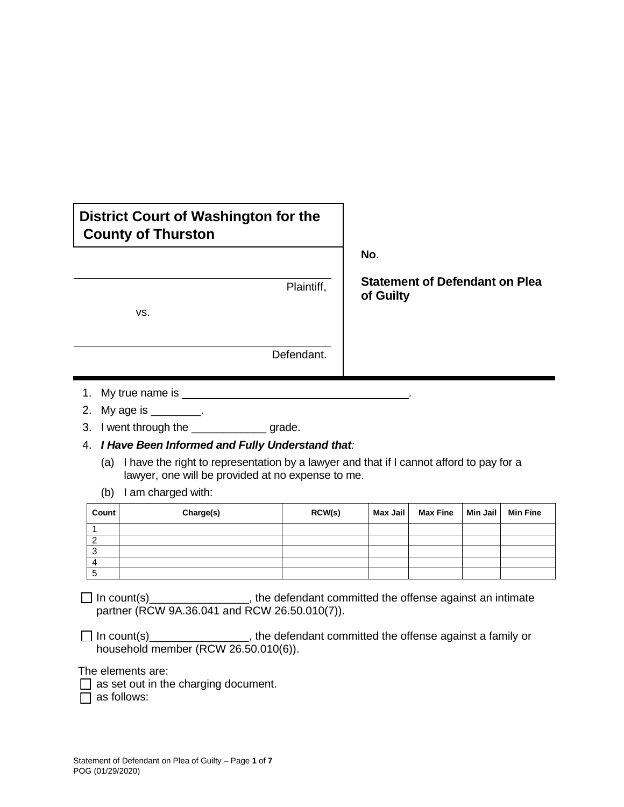## **District Court of Washington for the County of Thurston**

| Plaintiff, |
|------------|
|            |
|            |
| Defendant. |

- 1. My true name is
- 2. My age is \_\_\_\_\_\_\_\_\_.
- 3. I went through the \_\_\_\_\_\_\_\_\_\_\_\_\_\_\_\_ grade.
- 4. *I Have Been Informed and Fully Understand that:*
	- (a) I have the right to representation by a lawyer and that if I cannot afford to pay for a lawyer, one will be provided at no expense to me.
	- (b) I am charged with:

| Count  | Charge(s) | RCW(s) | Max Jail | <b>Max Fine</b> | Min Jail | <b>Min Fine</b> |
|--------|-----------|--------|----------|-----------------|----------|-----------------|
|        |           |        |          |                 |          |                 |
| ◠      |           |        |          |                 |          |                 |
| ີ<br>J |           |        |          |                 |          |                 |
| 4      |           |        |          |                 |          |                 |
| 5      |           |        |          |                 |          |                 |

In count(s)\_\_\_\_\_\_\_\_\_\_\_\_\_\_\_\_, the defendant committed the offense against an intimate partner (RCW 9A.36.041 and RCW 26.50.010(7)).

 $\Box$  In count(s)  $\Box$  In count(s) household member (RCW 26.50.010(6)).

The elements are:

 $\Box$  as set out in the charging document.

 $\Box$  as follows:

**No**.

**Statement of Defendant on Plea of Guilty**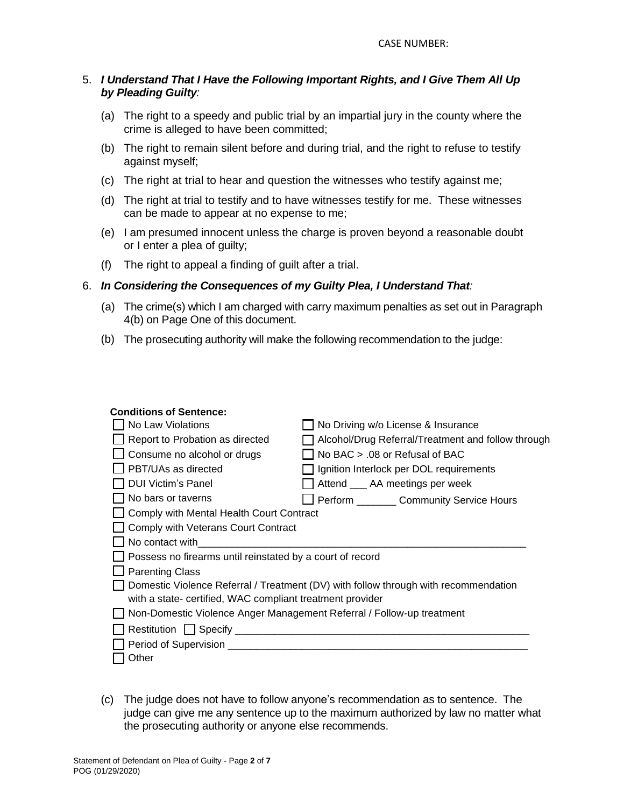## 5. *I Understand That I Have the Following Important Rights, and I Give Them All Up by Pleading Guilty:*

- (a) The right to a speedy and public trial by an impartial jury in the county where the crime is alleged to have been committed;
- (b) The right to remain silent before and during trial, and the right to refuse to testify against myself;
- (c) The right at trial to hear and question the witnesses who testify against me;
- (d) The right at trial to testify and to have witnesses testify for me. These witnesses can be made to appear at no expense to me;
- (e) I am presumed innocent unless the charge is proven beyond a reasonable doubt or I enter a plea of guilty;
- (f) The right to appeal a finding of guilt after a trial.

## 6. *In Considering the Consequences of my Guilty Plea, I Understand That:*

- (a) The crime(s) which I am charged with carry maximum penalties as set out in Paragraph 4(b) on Page One of this document.
- (b) The prosecuting authority will make the following recommendation to the judge:

| <b>Conditions of Sentence:</b>                                                      |                                                    |  |  |  |
|-------------------------------------------------------------------------------------|----------------------------------------------------|--|--|--|
| No Law Violations                                                                   | No Driving w/o License & Insurance                 |  |  |  |
| Report to Probation as directed                                                     | Alcohol/Drug Referral/Treatment and follow through |  |  |  |
| Consume no alcohol or drugs                                                         | No BAC > .08 or Refusal of BAC                     |  |  |  |
| PBT/UAs as directed                                                                 | Ignition Interlock per DOL requirements            |  |  |  |
| <b>DUI Victim's Panel</b>                                                           | Attend _____ AA meetings per week                  |  |  |  |
| No bars or taverns                                                                  | Perform __________ Community Service Hours         |  |  |  |
| Comply with Mental Health Court Contract                                            |                                                    |  |  |  |
| Comply with Veterans Court Contract                                                 |                                                    |  |  |  |
| No contact with                                                                     |                                                    |  |  |  |
| Possess no firearms until reinstated by a court of record                           |                                                    |  |  |  |
| <b>Parenting Class</b>                                                              |                                                    |  |  |  |
| Domestic Violence Referral / Treatment (DV) with follow through with recommendation |                                                    |  |  |  |
| with a state- certified, WAC compliant treatment provider                           |                                                    |  |  |  |
| Non-Domestic Violence Anger Management Referral / Follow-up treatment               |                                                    |  |  |  |
|                                                                                     |                                                    |  |  |  |
|                                                                                     |                                                    |  |  |  |
| Other                                                                               |                                                    |  |  |  |

(c) The judge does not have to follow anyone's recommendation as to sentence. The judge can give me any sentence up to the maximum authorized by law no matter what the prosecuting authority or anyone else recommends.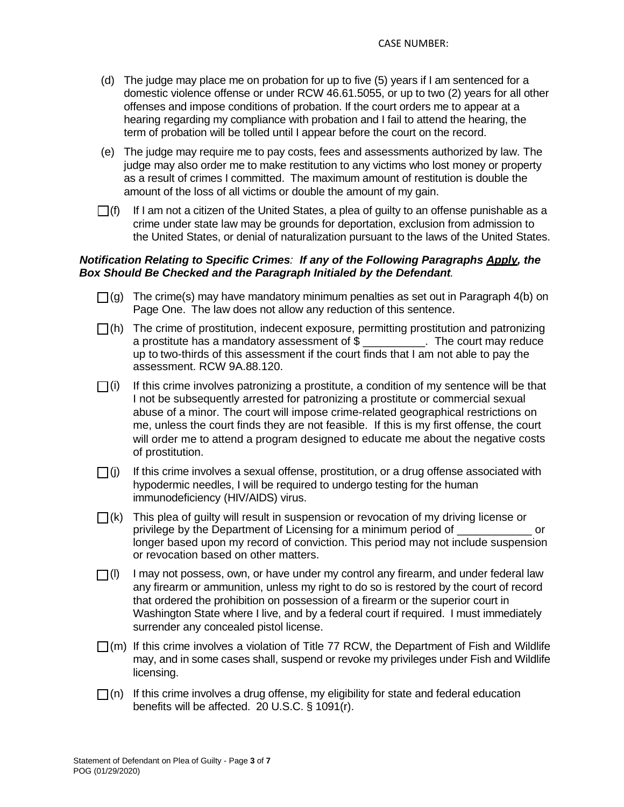- (d) The judge may place me on probation for up to five (5) years if I am sentenced for a domestic violence offense or under RCW 46.61.5055, or up to two (2) years for all other offenses and impose conditions of probation. If the court orders me to appear at a hearing regarding my compliance with probation and I fail to attend the hearing, the term of probation will be tolled until I appear before the court on the record.
- (e) The judge may require me to pay costs, fees and assessments authorized by law. The judge may also order me to make restitution to any victims who lost money or property as a result of crimes I committed. The maximum amount of restitution is double the amount of the loss of all victims or double the amount of my gain.
- $\Box$ (f) If I am not a citizen of the United States, a plea of guilty to an offense punishable as a crime under state law may be grounds for deportation, exclusion from admission to the United States, or denial of naturalization pursuant to the laws of the United States.

## *Notification Relating to Specific Crimes: If any of the Following Paragraphs Apply, the Box Should Be Checked and the Paragraph Initialed by the Defendant.*

- $\Box$ (g) The crime(s) may have mandatory minimum penalties as set out in Paragraph 4(b) on Page One. The law does not allow any reduction of this sentence.
- $\Box$ (h) The crime of prostitution, indecent exposure, permitting prostitution and patronizing a prostitute has a mandatory assessment of \$ \_\_\_\_\_\_\_\_\_\_. The court may reduce up to two-thirds of this assessment if the court finds that I am not able to pay the assessment. RCW 9A.88.120.
- $\Box$ (i) If this crime involves patronizing a prostitute, a condition of my sentence will be that I not be subsequently arrested for patronizing a prostitute or commercial sexual abuse of a minor. The court will impose crime-related geographical restrictions on me, unless the court finds they are not feasible. If this is my first offense, the court will order me to attend a program designed to educate me about the negative costs of prostitution.
- $\Box$ (j) If this crime involves a sexual offense, prostitution, or a drug offense associated with hypodermic needles, I will be required to undergo testing for the human immunodeficiency (HIV/AIDS) virus.
- $\bigcap$ (k) This plea of guilty will result in suspension or revocation of my driving license or privilege by the Department of Licensing for a minimum period of longer based upon my record of conviction. This period may not include suspension or revocation based on other matters.
- $\Box$ (I) I may not possess, own, or have under my control any firearm, and under federal law any firearm or ammunition, unless my right to do so is restored by the court of record that ordered the prohibition on possession of a firearm or the superior court in Washington State where I live, and by a federal court if required. I must immediately surrender any concealed pistol license.
- $\Box$ (m) If this crime involves a violation of Title 77 RCW, the Department of Fish and Wildlife may, and in some cases shall, suspend or revoke my privileges under Fish and Wildlife licensing.
- $\Box$ (n) If this crime involves a drug offense, my eligibility for state and federal education benefits will be affected. 20 U.S.C. § 1091(r).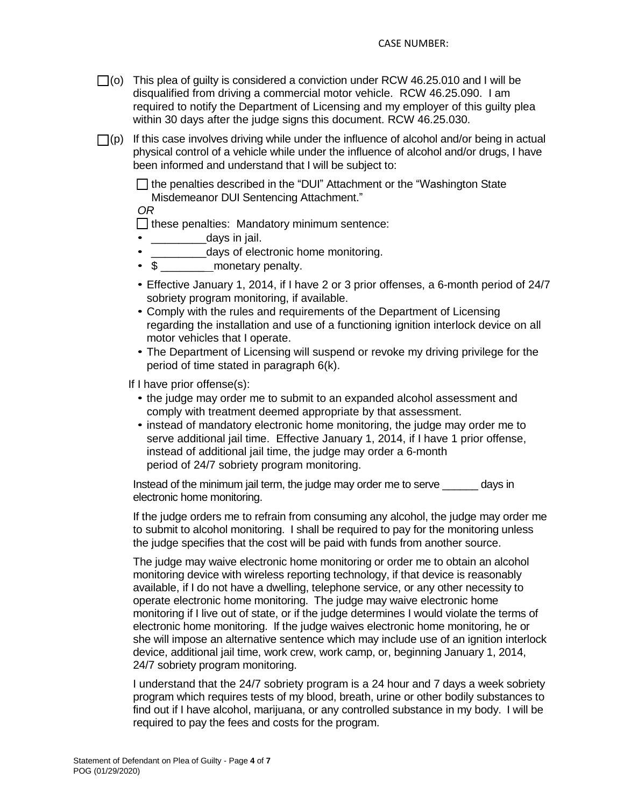- $\Box$ (o) This plea of guilty is considered a conviction under RCW 46.25.010 and I will be disqualified from driving a commercial motor vehicle. RCW 46.25.090. I am required to notify the Department of Licensing and my employer of this guilty plea within 30 days after the judge signs this document. RCW 46.25.030.
- $\Box$ (p) If this case involves driving while under the influence of alcohol and/or being in actual physical control of a vehicle while under the influence of alcohol and/or drugs, I have been informed and understand that I will be subject to:

 $\Box$  the penalties described in the "DUI" Attachment or the "Washington State Misdemeanor DUI Sentencing Attachment."

*OR*

 $\Box$  these penalties: Mandatory minimum sentence:

- days in jail.
- \_\_\_\_\_\_\_\_\_\_\_\_days of electronic home monitoring.<br>• \$ monetary penalty.
- monetary penalty.
- Effective January 1, 2014, if I have 2 or 3 prior offenses, a 6-month period of 24/7 sobriety program monitoring, if available.
- Comply with the rules and requirements of the Department of Licensing regarding the installation and use of a functioning ignition interlock device on all motor vehicles that I operate.
- The Department of Licensing will suspend or revoke my driving privilege for the period of time stated in paragraph 6(k).

If I have prior offense(s):

- the judge may order me to submit to an expanded alcohol assessment and comply with treatment deemed appropriate by that assessment.
- instead of mandatory electronic home monitoring, the judge may order me to serve additional jail time. Effective January 1, 2014, if I have 1 prior offense, instead of additional jail time, the judge may order a 6-month period of 24/7 sobriety program monitoring.

Instead of the minimum jail term, the judge may order me to serve \_\_\_\_\_\_ days in electronic home monitoring.

If the judge orders me to refrain from consuming any alcohol, the judge may order me to submit to alcohol monitoring. I shall be required to pay for the monitoring unless the judge specifies that the cost will be paid with funds from another source.

The judge may waive electronic home monitoring or order me to obtain an alcohol monitoring device with wireless reporting technology, if that device is reasonably available, if I do not have a dwelling, telephone service, or any other necessity to operate electronic home monitoring. The judge may waive electronic home monitoring if I live out of state, or if the judge determines I would violate the terms of electronic home monitoring. If the judge waives electronic home monitoring, he or she will impose an alternative sentence which may include use of an ignition interlock device, additional jail time, work crew, work camp, or, beginning January 1, 2014, 24/7 sobriety program monitoring.

I understand that the 24/7 sobriety program is a 24 hour and 7 days a week sobriety program which requires tests of my blood, breath, urine or other bodily substances to find out if I have alcohol, marijuana, or any controlled substance in my body. I will be required to pay the fees and costs for the program.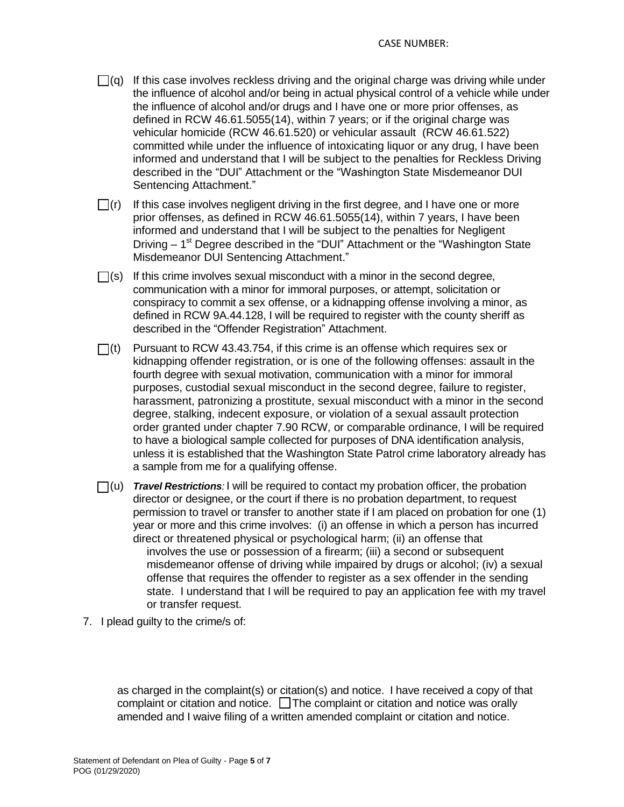- $\Box$ (g) If this case involves reckless driving and the original charge was driving while under the influence of alcohol and/or being in actual physical control of a vehicle while under the influence of alcohol and/or drugs and I have one or more prior offenses, as defined in RCW 46.61.5055(14), within 7 years; or if the original charge was vehicular homicide (RCW 46.61.520) or vehicular assault (RCW 46.61.522) committed while under the influence of intoxicating liquor or any drug, I have been informed and understand that I will be subject to the penalties for Reckless Driving described in the "DUI" Attachment or the "Washington State Misdemeanor DUI Sentencing Attachment."
- $\Box$ (r) If this case involves negligent driving in the first degree, and I have one or more prior offenses, as defined in RCW 46.61.5055(14), within 7 years, I have been informed and understand that I will be subject to the penalties for Negligent Driving - 1<sup>st</sup> Degree described in the "DUI" Attachment or the "Washington State Misdemeanor DUI Sentencing Attachment."
- $\Box$ (s) If this crime involves sexual misconduct with a minor in the second degree, communication with a minor for immoral purposes, or attempt, solicitation or conspiracy to commit a sex offense, or a kidnapping offense involving a minor, as defined in RCW 9A.44.128, I will be required to register with the county sheriff as described in the "Offender Registration" Attachment.
- $\Box$ (t) Pursuant to RCW 43.43.754, if this crime is an offense which requires sex or kidnapping offender registration, or is one of the following offenses: assault in the fourth degree with sexual motivation, communication with a minor for immoral purposes, custodial sexual misconduct in the second degree, failure to register, harassment, patronizing a prostitute, sexual misconduct with a minor in the second degree, stalking, indecent exposure, or violation of a sexual assault protection order granted under chapter 7.90 RCW, or comparable ordinance, I will be required to have a biological sample collected for purposes of DNA identification analysis, unless it is established that the Washington State Patrol crime laboratory already has a sample from me for a qualifying offense.
- (u) *Travel Restrictions:* I will be required to contact my probation officer, the probation director or designee, or the court if there is no probation department, to request permission to travel or transfer to another state if I am placed on probation for one (1) year or more and this crime involves: (i) an offense in which a person has incurred direct or threatened physical or psychological harm; (ii) an offense that involves the use or possession of a firearm; (iii) a second or subsequent misdemeanor offense of driving while impaired by drugs or alcohol; (iv) a sexual offense that requires the offender to register as a sex offender in the sending state. I understand that I will be required to pay an application fee with my travel or transfer request.
- 7. I plead guilty to the crime/s of:

as charged in the complaint(s) or citation(s) and notice. I have received a copy of that complaint or citation and notice.  $\Box$  The complaint or citation and notice was orally amended and I waive filing of a written amended complaint or citation and notice.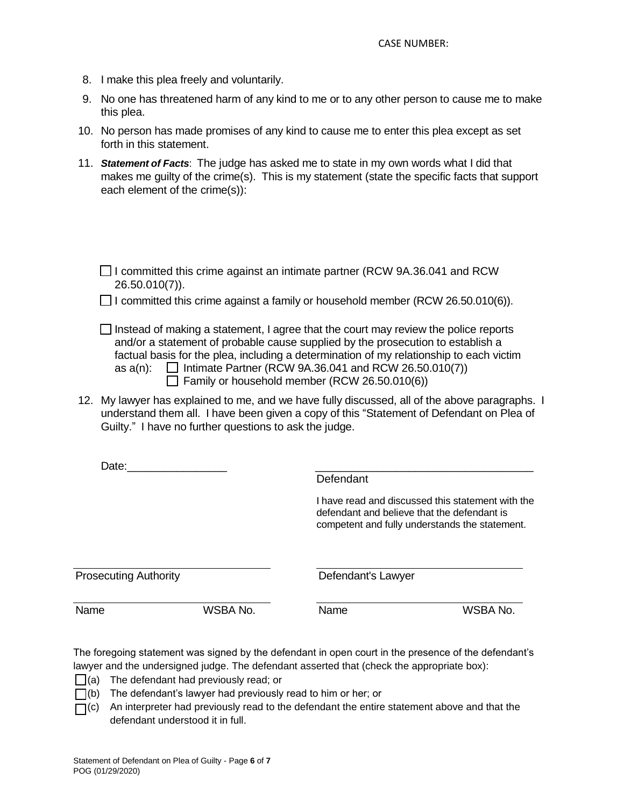- 8. I make this plea freely and voluntarily.
- 9. No one has threatened harm of any kind to me or to any other person to cause me to make this plea.
- 10. No person has made promises of any kind to cause me to enter this plea except as set forth in this statement.
- 11. *Statement of Facts*: The judge has asked me to state in my own words what I did that makes me guilty of the crime(s). This is my statement (state the specific facts that support each element of the crime(s)):

| □ I committed this crime against an intimate partner (RCW 9A.36.041 and RCW |  |  |
|-----------------------------------------------------------------------------|--|--|
| $26.50.010(7)$ ).                                                           |  |  |

 $\Box$  I committed this crime against a family or household member (RCW 26.50.010(6)).

- $\Box$  Instead of making a statement, I agree that the court may review the police reports and/or a statement of probable cause supplied by the prosecution to establish a factual basis for the plea, including a determination of my relationship to each victim as  $a(n)$ :  $\Box$  Intimate Partner (RCW 9A.36.041 and RCW 26.50.010(7))  $\Box$  Family or household member (RCW 26.50.010(6))
- 12. My lawyer has explained to me, and we have fully discussed, all of the above paragraphs. I understand them all. I have been given a copy of this "Statement of Defendant on Plea of Guilty." I have no further questions to ask the judge.

| Date:                        |          | Defendant          |                                                                                                                                                    |
|------------------------------|----------|--------------------|----------------------------------------------------------------------------------------------------------------------------------------------------|
|                              |          |                    | I have read and discussed this statement with the<br>defendant and believe that the defendant is<br>competent and fully understands the statement. |
| <b>Prosecuting Authority</b> |          | Defendant's Lawyer |                                                                                                                                                    |
| Name                         | WSBA No. | Name               | WSBA No.                                                                                                                                           |

The foregoing statement was signed by the defendant in open court in the presence of the defendant's lawyer and the undersigned judge. The defendant asserted that (check the appropriate box):

- $\Box$ (a) The defendant had previously read; or
- $\Box$ (b) The defendant's lawyer had previously read to him or her; or
- $\Box$ (c) An interpreter had previously read to the defendant the entire statement above and that the defendant understood it in full.